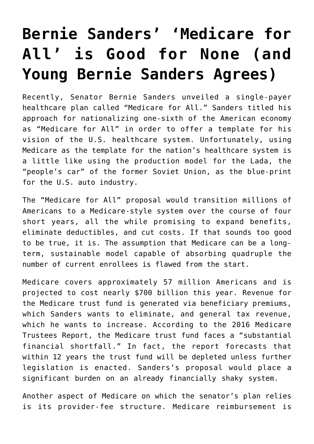## **[Bernie Sanders' 'Medicare for](https://intellectualtakeout.org/2017/10/bernie-sanders-medicare-for-all-is-good-for-none-and-young-bernie-sanders-agrees/) [All' is Good for None \(and](https://intellectualtakeout.org/2017/10/bernie-sanders-medicare-for-all-is-good-for-none-and-young-bernie-sanders-agrees/) [Young Bernie Sanders Agrees\)](https://intellectualtakeout.org/2017/10/bernie-sanders-medicare-for-all-is-good-for-none-and-young-bernie-sanders-agrees/)**

Recently, Senator Bernie Sanders unveiled a single-payer healthcare plan called "Medicare for All." Sanders titled his approach for nationalizing one-sixth of the American economy as "Medicare for All" in order to offer a template for his vision of the U.S. healthcare system. Unfortunately, using Medicare as the template for the nation's healthcare system is a little like using the production model for the Lada, the "people's car" of the former Soviet Union, as the blue-print for the U.S. auto industry.

The "Medicare for All" proposal would transition millions of Americans to a Medicare-style system over the course of four short years, all the while promising to expand benefits, eliminate deductibles, and cut costs. If that sounds too good to be true, it is. The assumption that Medicare can be a longterm, sustainable model capable of absorbing quadruple the number of current enrollees is flawed from the start.

Medicare covers approximately 57 million Americans and is projected to cost nearly \$700 billion this year. Revenue for the Medicare trust fund is generated via beneficiary premiums, which Sanders wants to eliminate, and general tax revenue, which he wants to increase. According to the 2016 Medicare Trustees Report, the Medicare trust fund faces a "substantial financial shortfall." In fact, the report forecasts that within 12 years the trust fund will be depleted unless further legislation is enacted. Sanders's proposal would place a significant burden on an already financially shaky system.

Another aspect of Medicare on which the senator's plan relies is its provider-fee structure. Medicare reimbursement is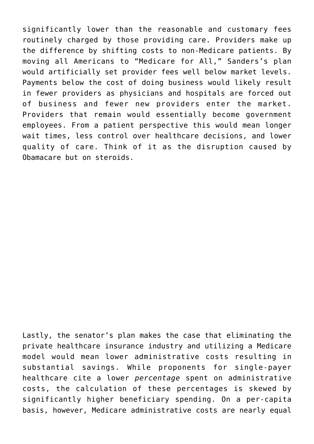significantly lower than the reasonable and customary fees routinely charged by those providing care. Providers make up the difference by shifting costs to non-Medicare patients. By moving all Americans to "Medicare for All," Sanders's plan would artificially set provider fees well below market levels. Payments below the cost of doing business would likely result in fewer providers as physicians and hospitals are forced out of business and fewer new providers enter the market. Providers that remain would essentially become government employees. From a patient perspective this would mean longer wait times, less control over healthcare decisions, and lower quality of care. Think of it as the disruption caused by Obamacare but on steroids.

Lastly, the senator's plan makes the case that eliminating the private healthcare insurance industry and utilizing a Medicare model would mean lower administrative costs resulting in substantial savings. While proponents for single-payer healthcare cite a lower *percentage* spent on administrative costs, the calculation of these percentages is skewed by significantly higher beneficiary spending. On a per-capita basis, however, Medicare administrative costs are nearly equal